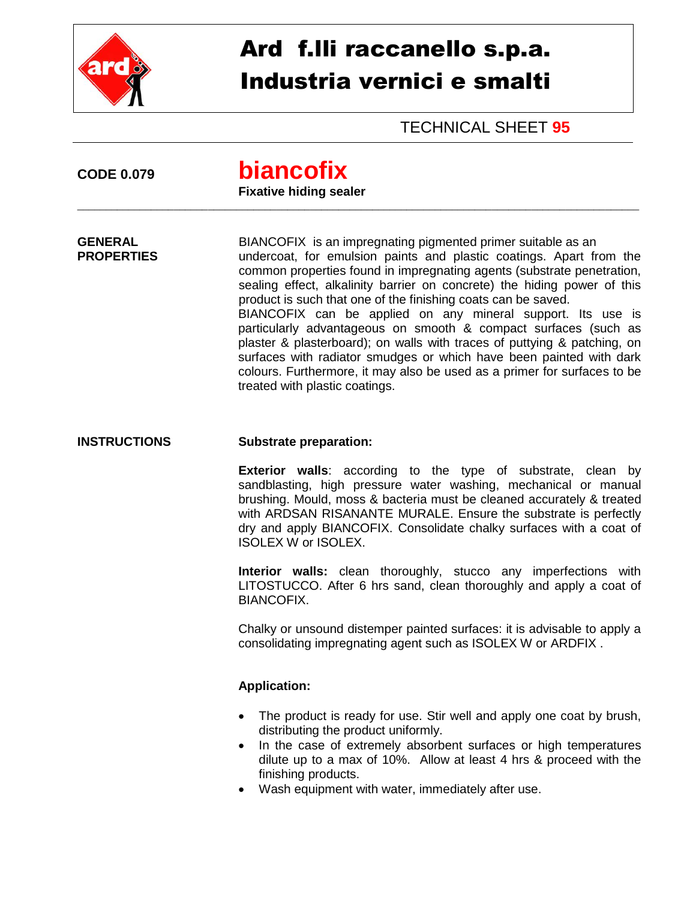

## Ard f.lli raccanello s.p.a. Industria vernici e smalti

TECHNICAL SHEET **95**

| <b>CODE 0.079</b>                   | biancofix<br><b>Fixative hiding sealer</b>                                                                                                                                                                                                                                                                                                                                                                                                                                                                                                                                                                                                                                                                                                                    |
|-------------------------------------|---------------------------------------------------------------------------------------------------------------------------------------------------------------------------------------------------------------------------------------------------------------------------------------------------------------------------------------------------------------------------------------------------------------------------------------------------------------------------------------------------------------------------------------------------------------------------------------------------------------------------------------------------------------------------------------------------------------------------------------------------------------|
| <b>GENERAL</b><br><b>PROPERTIES</b> | BIANCOFIX is an impregnating pigmented primer suitable as an<br>undercoat, for emulsion paints and plastic coatings. Apart from the<br>common properties found in impregnating agents (substrate penetration,<br>sealing effect, alkalinity barrier on concrete) the hiding power of this<br>product is such that one of the finishing coats can be saved.<br>BIANCOFIX can be applied on any mineral support. Its use is<br>particularly advantageous on smooth & compact surfaces (such as<br>plaster & plasterboard); on walls with traces of puttying & patching, on<br>surfaces with radiator smudges or which have been painted with dark<br>colours. Furthermore, it may also be used as a primer for surfaces to be<br>treated with plastic coatings. |
| <b>INSTRUCTIONS</b>                 | <b>Substrate preparation:</b>                                                                                                                                                                                                                                                                                                                                                                                                                                                                                                                                                                                                                                                                                                                                 |
|                                     | <b>Exterior walls:</b> according to the type of substrate, clean by<br>sandblasting, high pressure water washing, mechanical or manual<br>brushing. Mould, moss & bacteria must be cleaned accurately & treated<br>with ARDSAN RISANANTE MURALE. Ensure the substrate is perfectly<br>dry and apply BIANCOFIX. Consolidate chalky surfaces with a coat of<br><b>ISOLEX W or ISOLEX.</b>                                                                                                                                                                                                                                                                                                                                                                       |
|                                     | Interior walls: clean thoroughly, stucco any imperfections with<br>LITOSTUCCO. After 6 hrs sand, clean thoroughly and apply a coat of<br><b>BIANCOFIX.</b>                                                                                                                                                                                                                                                                                                                                                                                                                                                                                                                                                                                                    |
|                                     | Chalky or unsound distemper painted surfaces: it is advisable to apply a<br>consolidating impregnating agent such as ISOLEX W or ARDFIX.                                                                                                                                                                                                                                                                                                                                                                                                                                                                                                                                                                                                                      |
|                                     | <b>Application:</b>                                                                                                                                                                                                                                                                                                                                                                                                                                                                                                                                                                                                                                                                                                                                           |
|                                     | The product is ready for use. Stir well and apply one coat by brush,<br>distributing the product uniformly.<br>In the case of extremely absorbent surfaces or high temperatures<br>dilute up to a max of 10%. Allow at least 4 hrs & proceed with the<br>finishing products.<br>Wash equipment with water, immediately after use.                                                                                                                                                                                                                                                                                                                                                                                                                             |